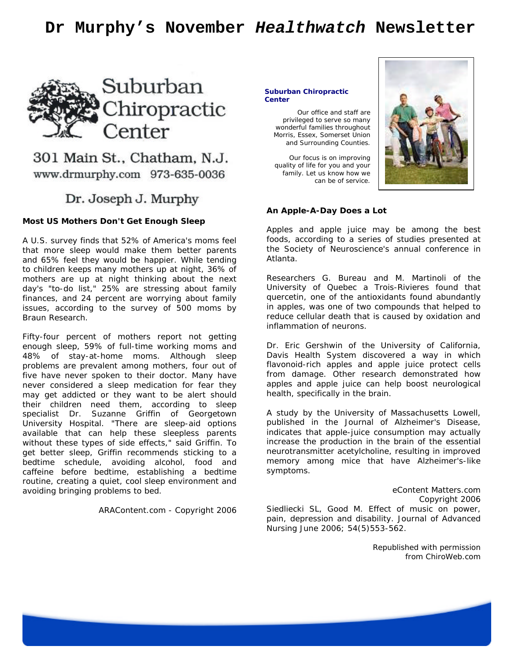# **Dr Murphy's November** *Healthwatch* **Newsletter**



# 301 Main St., Chatham, N.J. www.drmurphy.com 973-635-0036

# Dr. Joseph J. Murphy

#### **Most US Mothers Don't Get Enough Sleep**

A U.S. survey finds that 52% of America's moms feel that more sleep would make them better parents and 65% feel they would be happier. While tending to children keeps many mothers up at night, 36% of mothers are up at night thinking about the next day's "to-do list," 25% are stressing about family finances, and 24 percent are worrying about family issues, according to the survey of 500 moms by Braun Research.

Fifty-four percent of mothers report not getting enough sleep, 59% of full-time working moms and 48% of stay-at-home moms. Although sleep problems are prevalent among mothers, four out of five have never spoken to their doctor. Many have never considered a sleep medication for fear they may get addicted or they want to be alert should their children need them, according to sleep specialist Dr. Suzanne Griffin of Georgetown University Hospital. "There are sleep-aid options available that can help these sleepless parents without these types of side effects," said Griffin. To get better sleep, Griffin recommends sticking to a bedtime schedule, avoiding alcohol, food and caffeine before bedtime, establishing a bedtime routine, creating a quiet, cool sleep environment and avoiding bringing problems to bed.

ARAContent.com - Copyright 2006

#### **Suburban Chiropractic Center**

Our office and staff are privileged to serve so many wonderful families throughout Morris, Essex, Somerset Union and Surrounding Counties.

Our focus is on improving quality of life for you and your family. Let us know how we can be of service.



#### **An Apple-A-Day Does a Lot**

Apples and apple juice may be among the best foods, according to a series of studies presented at the Society of Neuroscience's annual conference in Atlanta.

Researchers G. Bureau and M. Martinoli of the University of Quebec a Trois-Rivieres found that quercetin, one of the antioxidants found abundantly in apples, was one of two compounds that helped to reduce cellular death that is caused by oxidation and inflammation of neurons.

Dr. Eric Gershwin of the University of California, Davis Health System discovered a way in which flavonoid-rich apples and apple juice protect cells from damage. Other research demonstrated how apples and apple juice can help boost neurological health, specifically in the brain.

A study by the University of Massachusetts Lowell, published in the Journal of Alzheimer's Disease, indicates that apple-juice consumption may actually increase the production in the brain of the essential neurotransmitter acetylcholine, resulting in improved memory among mice that have Alzheimer's-like symptoms.

eContent Matters.com Copyright 2006 Siedliecki SL, Good M. Effect of music on power, pain, depression and disability. Journal of Advanced Nursing June 2006; 54(5)553-562.

> Republished with permission from ChiroWeb.com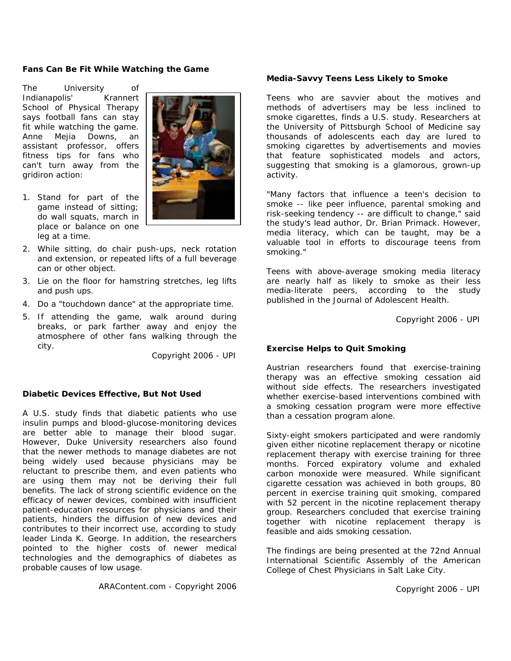## **Fans Can Be Fit While Watching the Game**

The University of Indianapolis' Krannert School of Physical Therapy says football fans can stay fit while watching the game. Anne Mejia Downs, an assistant professor, offers fitness tips for fans who can't turn away from the gridiron action:

1. Stand for part of the game instead of sitting; do wall squats, march in place or balance on one leg at a time.



- 2. While sitting, do chair push-ups, neck rotation and extension, or repeated lifts of a full beverage can or other object.
- 3. Lie on the floor for hamstring stretches, leg lifts and push ups.
- 4. Do a "touchdown dance" at the appropriate time.
- 5. If attending the game, walk around during breaks, or park farther away and enjoy the atmosphere of other fans walking through the city.

Copyright 2006 - UPI

### **Diabetic Devices Effective, But Not Used**

A U.S. study finds that diabetic patients who use insulin pumps and blood-glucose-monitoring devices are better able to manage their blood sugar. However, Duke University researchers also found that the newer methods to manage diabetes are not being widely used because physicians may be reluctant to prescribe them, and even patients who are using them may not be deriving their full benefits. The lack of strong scientific evidence on the efficacy of newer devices, combined with insufficient patient-education resources for physicians and their patients, hinders the diffusion of new devices and contributes to their incorrect use, according to study leader Linda K. George. In addition, the researchers pointed to the higher costs of newer medical technologies and the demographics of diabetes as probable causes of low usage.

ARAContent.com - Copyright 2006

## **Media-Savvy Teens Less Likely to Smoke**

Teens who are savvier about the motives and methods of advertisers may be less inclined to smoke cigarettes, finds a U.S. study. Researchers at the University of Pittsburgh School of Medicine say thousands of adolescents each day are lured to smoking cigarettes by advertisements and movies that feature sophisticated models and actors, suggesting that smoking is a glamorous, grown-up activity.

"Many factors that influence a teen's decision to smoke -- like peer influence, parental smoking and risk-seeking tendency -- are difficult to change," said the study's lead author, Dr. Brian Primack. However, media literacy, which can be taught, may be a valuable tool in efforts to discourage teens from smoking."

Teens with above-average smoking media literacy are nearly half as likely to smoke as their less media-literate peers, according to the study published in the Journal of Adolescent Health.

Copyright 2006 - UPI

# **Exercise Helps to Quit Smoking**

Austrian researchers found that exercise-training therapy was an effective smoking cessation aid without side effects. The researchers investigated whether exercise-based interventions combined with a smoking cessation program were more effective than a cessation program alone.

Sixty-eight smokers participated and were randomly given either nicotine replacement therapy or nicotine replacement therapy with exercise training for three months. Forced expiratory volume and exhaled carbon monoxide were measured. While significant cigarette cessation was achieved in both groups, 80 percent in exercise training quit smoking, compared with 52 percent in the nicotine replacement therapy group. Researchers concluded that exercise training together with nicotine replacement therapy is feasible and aids smoking cessation.

The findings are being presented at the 72nd Annual International Scientific Assembly of the American College of Chest Physicians in Salt Lake City.

Copyright 2006 - UPI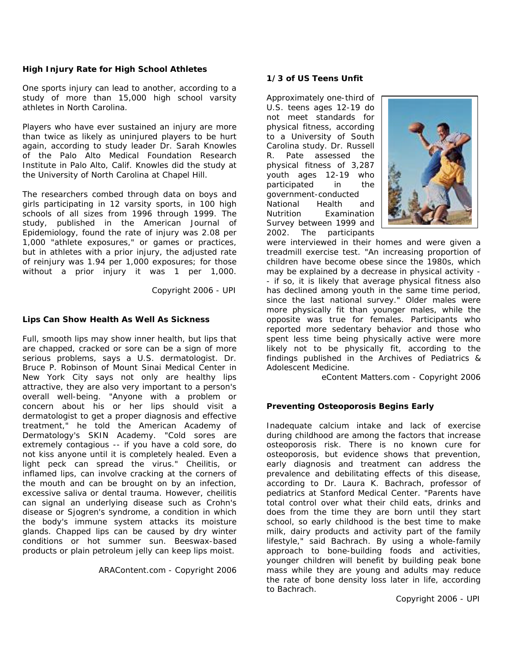# **High Injury Rate for High School Athletes**

One sports injury can lead to another, according to a study of more than 15,000 high school varsity athletes in North Carolina.

Players who have ever sustained an injury are more than twice as likely as uninjured players to be hurt again, according to study leader Dr. Sarah Knowles of the Palo Alto Medical Foundation Research Institute in Palo Alto, Calif. Knowles did the study at the University of North Carolina at Chapel Hill.

The researchers combed through data on boys and girls participating in 12 varsity sports, in 100 high schools of all sizes from 1996 through 1999. The study, published in the American Journal of Epidemiology, found the rate of injury was 2.08 per 1,000 "athlete exposures," or games or practices, but in athletes with a prior injury, the adjusted rate of reinjury was 1.94 per 1,000 exposures; for those without a prior injury it was 1 per 1,000.

Copyright 2006 - UPI

# **Lips Can Show Health As Well As Sickness**

Full, smooth lips may show inner health, but lips that are chapped, cracked or sore can be a sign of more serious problems, says a U.S. dermatologist. Dr. Bruce P. Robinson of Mount Sinai Medical Center in New York City says not only are healthy lips attractive, they are also very important to a person's overall well-being. "Anyone with a problem or concern about his or her lips should visit a dermatologist to get a proper diagnosis and effective treatment," he told the American Academy of Dermatology's SKIN Academy. "Cold sores are extremely contagious -- if you have a cold sore, do not kiss anyone until it is completely healed. Even a light peck can spread the virus." Cheilitis, or inflamed lips, can involve cracking at the corners of the mouth and can be brought on by an infection, excessive saliva or dental trauma. However, cheilitis can signal an underlying disease such as Crohn's disease or Sjogren's syndrome, a condition in which the body's immune system attacks its moisture glands. Chapped lips can be caused by dry winter conditions or hot summer sun. Beeswax-based products or plain petroleum jelly can keep lips moist.

ARAContent.com - Copyright 2006

# **1/3 of US Teens Unfit**

Approximately one-third of U.S. teens ages 12-19 do not meet standards for physical fitness, according to a University of South Carolina study. Dr. Russell R. Pate assessed the physical fitness of 3,287 youth ages 12-19 who participated in the government-conducted National Health and Nutrition Examination Survey between 1999 and 2002. The participants



were interviewed in their homes and were given a treadmill exercise test. "An increasing proportion of children have become obese since the 1980s, which may be explained by a decrease in physical activity - - if so, it is likely that average physical fitness also has declined among youth in the same time period, since the last national survey." Older males were more physically fit than younger males, while the opposite was true for females. Participants who reported more sedentary behavior and those who spent less time being physically active were more likely not to be physically fit, according to the findings published in the Archives of Pediatrics & Adolescent Medicine.

eContent Matters.com - Copyright 2006

# **Preventing Osteoporosis Begins Early**

Inadequate calcium intake and lack of exercise during childhood are among the factors that increase osteoporosis risk. There is no known cure for osteoporosis, but evidence shows that prevention, early diagnosis and treatment can address the prevalence and debilitating effects of this disease, according to Dr. Laura K. Bachrach, professor of pediatrics at Stanford Medical Center. "Parents have total control over what their child eats, drinks and does from the time they are born until they start school, so early childhood is the best time to make milk, dairy products and activity part of the family lifestyle," said Bachrach. By using a whole-family approach to bone-building foods and activities, younger children will benefit by building peak bone mass while they are young and adults may reduce the rate of bone density loss later in life, according to Bachrach.